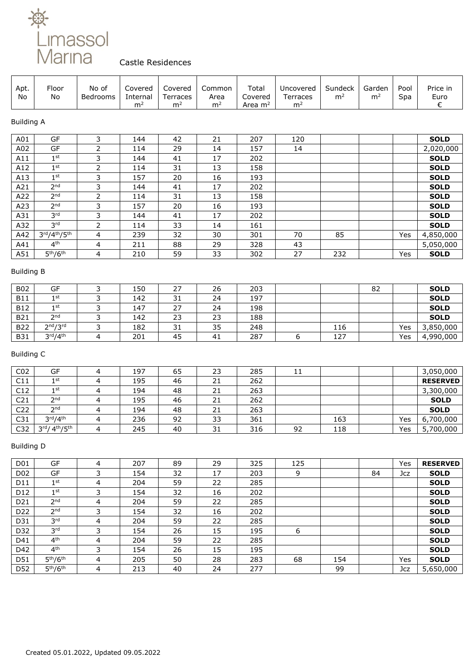

## Castle Residences

| Apt.<br>No        | Floor<br>No                      | No of<br>Bedrooms       | Covered<br>Internal<br>m <sup>2</sup> | Covered<br>Terraces<br>m <sup>2</sup> | Common<br>Area<br>m <sup>2</sup> | Total<br>Covered<br>Area $m2$ | Uncovered<br>Terraces<br>m <sup>2</sup> | Sundeck<br>m <sup>2</sup> | Garden<br>m <sup>2</sup> | Pool<br>Spa | Price in<br>Euro<br>€ |
|-------------------|----------------------------------|-------------------------|---------------------------------------|---------------------------------------|----------------------------------|-------------------------------|-----------------------------------------|---------------------------|--------------------------|-------------|-----------------------|
| <b>Building A</b> |                                  |                         |                                       |                                       |                                  |                               |                                         |                           |                          |             |                       |
| A01               | GF                               | 3                       | 144                                   | 42                                    | 21                               | 207                           | 120                                     |                           |                          |             | <b>SOLD</b>           |
| A02               | GF                               | $\overline{2}$          | 114                                   | 29                                    | 14                               | 157                           | 14                                      |                           |                          |             | 2,020,000             |
| A11               | $1^{\rm st}$                     | 3                       | 144                                   | 41                                    | 17                               | 202                           |                                         |                           |                          |             | <b>SOLD</b>           |
| A12               | $1^{\rm st}$                     | $\overline{2}$          | 114                                   | 31                                    | 13                               | 158                           |                                         |                           |                          |             | <b>SOLD</b>           |
| A13               | $1^{\rm st}$                     | 3                       | 157                                   | 20                                    | 16                               | 193                           |                                         |                           |                          |             | <b>SOLD</b>           |
| A21               | 2 <sup>nd</sup>                  | 3                       | 144                                   | 41                                    | 17                               | 202                           |                                         |                           |                          |             | <b>SOLD</b>           |
| A22               | 2 <sup>nd</sup>                  | $\overline{2}$          | 114                                   | 31                                    | 13                               | 158                           |                                         |                           |                          |             | <b>SOLD</b>           |
| A23               | 2 <sup>nd</sup>                  | 3                       | 157                                   | 20                                    | 16                               | 193                           |                                         |                           |                          |             | <b>SOLD</b>           |
| A31               | 3 <sup>rd</sup>                  | 3                       | 144                                   | 41                                    | 17                               | 202                           |                                         |                           |                          |             | <b>SOLD</b>           |
| A32               | 3 <sup>rd</sup>                  | $\overline{2}$          | 114                                   | 33                                    | 14                               | 161                           |                                         |                           |                          |             | <b>SOLD</b>           |
| A42               | 3rd/4th/5th                      | 4                       | 239                                   | 32                                    | 30                               | 301                           | 70                                      | 85                        |                          | Yes         | 4,850,000             |
| A41               | 4 <sup>th</sup>                  | 4                       | 211                                   | 88                                    | 29                               | 328                           | 43                                      |                           |                          |             | 5,050,000             |
| A51               | 5 <sup>th</sup> /6 <sup>th</sup> | 4                       | 210                                   | 59                                    | 33                               | 302                           | 27                                      | 232                       |                          | Yes         | <b>SOLD</b>           |
|                   |                                  |                         |                                       |                                       |                                  |                               |                                         |                           |                          |             |                       |
| <b>Building B</b> |                                  |                         |                                       |                                       |                                  |                               |                                         |                           |                          |             |                       |
| <b>B02</b>        | GF                               | 3                       | 150                                   | 27                                    | 26                               | 203                           |                                         |                           | 82                       |             | <b>SOLD</b>           |
| <b>B11</b>        | 1 <sup>st</sup>                  | 3                       | 142                                   | 31                                    | 24                               | 197                           |                                         |                           |                          |             | <b>SOLD</b>           |
| <b>B12</b>        | 1 <sup>st</sup>                  | 3                       | 147                                   | 27                                    | 24                               | 198                           |                                         |                           |                          |             | <b>SOLD</b>           |
| <b>B21</b>        | 2 <sub>nd</sub>                  | 3                       | 142                                   | 23                                    | 23                               | 188                           |                                         |                           |                          |             | <b>SOLD</b>           |
| <b>B22</b>        | 2 <sup>nd</sup> /3 <sup>rd</sup> | 3                       | 182                                   | 31                                    | 35                               | 248                           |                                         | 116                       |                          | Yes         | 3,850,000             |
| <b>B31</b>        | 3 <sup>rd</sup> /4 <sup>th</sup> | $\overline{\mathbf{4}}$ | 201                                   | 45                                    | 41                               | 287                           | 6                                       | 127                       |                          | Yes         | 4,990,000             |
| <b>Building C</b> |                                  |                         |                                       |                                       |                                  |                               |                                         |                           |                          |             |                       |
| CO <sub>2</sub>   | GF                               | 4                       | 197                                   | 65                                    | 23                               | 285                           | 11                                      |                           |                          |             | 3,050,000             |
| C11               | $1^{\rm st}$                     | 4                       | 195                                   | 46                                    | 21                               | 262                           |                                         |                           |                          |             | <b>RESERVED</b>       |
| C12               | 1 <sup>st</sup>                  | 4                       | 194                                   | 48                                    | 21                               | 263                           |                                         |                           |                          |             | 3,300,000             |
| C <sub>21</sub>   | 2 <sup>nd</sup>                  | 4                       | 195                                   | 46                                    | 21                               | 262                           |                                         |                           |                          |             | <b>SOLD</b>           |
| C22               | 2 <sup>nd</sup>                  | 4                       | 194                                   | 48                                    | 21                               | 263                           |                                         |                           |                          |             | <b>SOLD</b>           |
| C31               | 3 <sup>rd</sup> /4 <sup>th</sup> | 4                       | 236                                   | 92                                    | 33                               | 361                           |                                         | 163                       |                          | Yes         | 6,700,000             |
| C32               | 3rd/ 4th/5th                     | 4                       | 245                                   | 40                                    | 31                               | 316                           | 92                                      | 118                       |                          | Yes         | 5,700,000             |
| <b>Building D</b> |                                  |                         |                                       |                                       |                                  |                               |                                         |                           |                          |             |                       |
| D01               | GF                               | 4                       | 207                                   | 89                                    | 29                               | 325                           | 125                                     |                           |                          | Yes         | <b>RESERVED</b>       |
| D02               | GF                               | 3                       | 154                                   | 32                                    | 17                               | 203                           | 9                                       |                           | 84                       | Jcz         | <b>SOLD</b>           |
| D11               | $1^{\rm st}$                     | 4                       | 204                                   | 59                                    | 22                               | 285                           |                                         |                           |                          |             | <b>SOLD</b>           |
| D12               | $1^{\rm st}$                     | 3                       | 154                                   | 32                                    | 16                               | 202                           |                                         |                           |                          |             | <b>SOLD</b>           |
| D21               | 2 <sup>nd</sup>                  | 4                       | 204                                   | 59                                    | 22                               | 285                           |                                         |                           |                          |             | <b>SOLD</b>           |
| D22               | 2 <sup>nd</sup>                  | 3                       | 154                                   | 32                                    | 16                               | 202                           |                                         |                           |                          |             | <b>SOLD</b>           |
| D31               | 3 <sup>rd</sup>                  | 4                       | 204                                   | 59                                    | 22                               | 285                           |                                         |                           |                          |             | <b>SOLD</b>           |
| D32               | 3 <sup>rd</sup>                  | 3                       | 154                                   | 26                                    | 15                               | 195                           | 6                                       |                           |                          |             | <b>SOLD</b>           |
| D41               | 4 <sup>th</sup>                  | 4                       | 204                                   | 59                                    | 22                               | 285                           |                                         |                           |                          |             | <b>SOLD</b>           |
| D42               | 4 <sup>th</sup>                  | 3                       | 154                                   | 26                                    | 15                               | 195                           |                                         |                           |                          |             | <b>SOLD</b>           |
| D51               | 5 <sup>th</sup> /6 <sup>th</sup> | 4                       | 205                                   | 50                                    | 28                               | 283                           | 68                                      | 154                       |                          | Yes         | <b>SOLD</b>           |
| D52               | 5 <sup>th</sup> /6 <sup>th</sup> | $\overline{4}$          | 213                                   | 40                                    | 24                               | 277                           |                                         | 99                        |                          | Jcz         | 5,650,000             |
|                   |                                  |                         |                                       |                                       |                                  |                               |                                         |                           |                          |             |                       |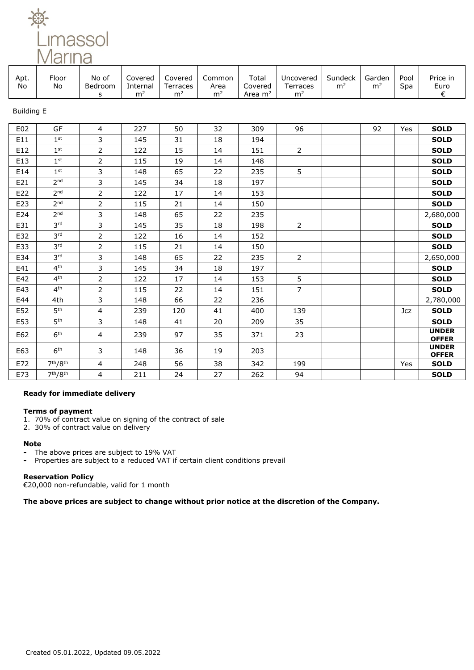Limassol<br><u>Marina</u>

|  | Apt.<br>No | Floor<br>No | No of<br>Bedroom | Covered<br>nternal:<br>m | Covered<br>Terraces<br>m <sup>2</sup> | Common<br>Area<br>m <sup>2</sup> | Total<br>Covered<br>Area m <sup>2</sup> | Uncovered<br>Ferraces<br>m <sup>2</sup> | Sundeck<br>m <sup>2</sup> | Garden<br>m <sup>2</sup> | Pool<br>Spa | Price in<br>Euro |
|--|------------|-------------|------------------|--------------------------|---------------------------------------|----------------------------------|-----------------------------------------|-----------------------------------------|---------------------------|--------------------------|-------------|------------------|
|--|------------|-------------|------------------|--------------------------|---------------------------------------|----------------------------------|-----------------------------------------|-----------------------------------------|---------------------------|--------------------------|-------------|------------------|

Building E

| E02 | GF                               | 4                       | 227 | 50  | 32 | 309 | 96             | 92 | Yes | <b>SOLD</b>                  |
|-----|----------------------------------|-------------------------|-----|-----|----|-----|----------------|----|-----|------------------------------|
| E11 | 1 <sup>st</sup>                  | 3                       | 145 | 31  | 18 | 194 |                |    |     | <b>SOLD</b>                  |
| E12 | 1 <sup>st</sup>                  | $\overline{2}$          | 122 | 15  | 14 | 151 | $\overline{2}$ |    |     | <b>SOLD</b>                  |
| E13 | 1 <sup>st</sup>                  | $\overline{2}$          | 115 | 19  | 14 | 148 |                |    |     | <b>SOLD</b>                  |
| E14 | 1 <sup>st</sup>                  | 3                       | 148 | 65  | 22 | 235 | 5              |    |     | <b>SOLD</b>                  |
| E21 | 2 <sub>nd</sub>                  | 3                       | 145 | 34  | 18 | 197 |                |    |     | <b>SOLD</b>                  |
| E22 | 2 <sub>nd</sub>                  | $\overline{2}$          | 122 | 17  | 14 | 153 |                |    |     | <b>SOLD</b>                  |
| E23 | 2 <sub>nd</sub>                  | $\overline{2}$          | 115 | 21  | 14 | 150 |                |    |     | <b>SOLD</b>                  |
| E24 | 2 <sub>nd</sub>                  | 3                       | 148 | 65  | 22 | 235 |                |    |     | 2,680,000                    |
| E31 | 3 <sup>rd</sup>                  | 3                       | 145 | 35  | 18 | 198 | $\overline{2}$ |    |     | <b>SOLD</b>                  |
| E32 | 3 <sup>rd</sup>                  | 2                       | 122 | 16  | 14 | 152 |                |    |     | <b>SOLD</b>                  |
| E33 | 3 <sup>rd</sup>                  | $\overline{2}$          | 115 | 21  | 14 | 150 |                |    |     | <b>SOLD</b>                  |
| E34 | 3 <sup>rd</sup>                  | 3                       | 148 | 65  | 22 | 235 | $\overline{2}$ |    |     | 2,650,000                    |
| E41 | 4 <sup>th</sup>                  | 3                       | 145 | 34  | 18 | 197 |                |    |     | <b>SOLD</b>                  |
| E42 | 4 <sup>th</sup>                  | $\overline{2}$          | 122 | 17  | 14 | 153 | 5              |    |     | <b>SOLD</b>                  |
| E43 | 4 <sup>th</sup>                  | 2                       | 115 | 22  | 14 | 151 | $\overline{7}$ |    |     | <b>SOLD</b>                  |
| E44 | 4th                              | 3                       | 148 | 66  | 22 | 236 |                |    |     | 2,780,000                    |
| E52 | 5 <sup>th</sup>                  | $\overline{\mathbf{4}}$ | 239 | 120 | 41 | 400 | 139            |    | Jcz | <b>SOLD</b>                  |
| E53 | 5 <sup>th</sup>                  | 3                       | 148 | 41  | 20 | 209 | 35             |    |     | <b>SOLD</b>                  |
| E62 | 6 <sup>th</sup>                  | 4                       | 239 | 97  | 35 | 371 | 23             |    |     | <b>UNDER</b><br><b>OFFER</b> |
| E63 | 6 <sup>th</sup>                  | 3                       | 148 | 36  | 19 | 203 |                |    |     | <b>UNDER</b><br><b>OFFER</b> |
| E72 | 7 <sup>th</sup> /8 <sup>th</sup> | $\overline{4}$          | 248 | 56  | 38 | 342 | 199            |    | Yes | <b>SOLD</b>                  |
| E73 | 7 <sup>th</sup> /8 <sup>th</sup> | 4                       | 211 | 24  | 27 | 262 | 94             |    |     | <b>SOLD</b>                  |

## **Ready for immediate delivery**

## **Terms of payment**

- 1. 70% of contract value on signing of the contract of sale
- 2. 30% of contract value on delivery

#### **Note**

- **-** The above prices are subject to 19% VAT
- **-** Properties are subject to a reduced VAT if certain client conditions prevail

## **Reservation Policy**

€20,000 non-refundable, valid for 1 month

**The above prices are subject to change without prior notice at the discretion of the Company.**